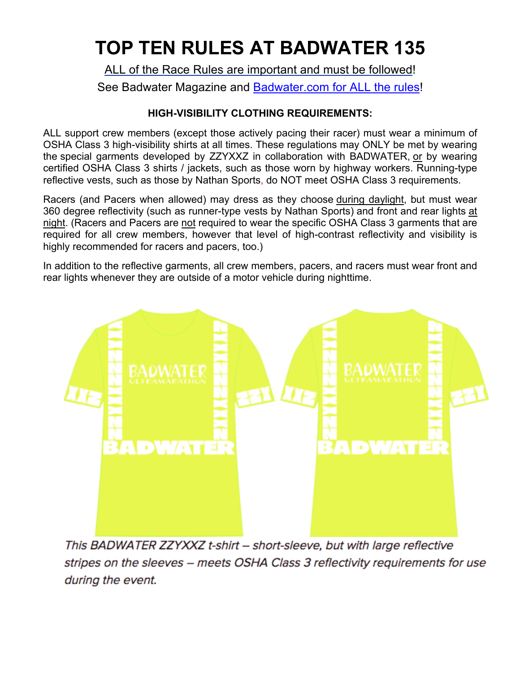# **TOP TEN RULES AT BADWATER 135**

ALL of the Race Rules are important and must be followed! See Badwater Magazine and Badwater.com for ALL the rules!

## **HIGH-VISIBILITY CLOTHING REQUIREMENTS:**

ALL support crew members (except those actively pacing their racer) must wear a minimum of OSHA Class 3 high-visibility shirts at all times. These regulations may ONLY be met by wearing the special garments developed by ZZYXXZ in collaboration with BADWATER, or by wearing certified OSHA Class 3 shirts / jackets, such as those worn by highway workers. Running-type reflective vests, such as those by Nathan Sports, do NOT meet OSHA Class 3 requirements.

Racers (and Pacers when allowed) may dress as they choose during daylight, but must wear 360 degree reflectivity (such as runner-type vests by Nathan Sports) and front and rear lights at night. (Racers and Pacers are not required to wear the specific OSHA Class 3 garments that are required for all crew members, however that level of high-contrast reflectivity and visibility is highly recommended for racers and pacers, too.)

In addition to the reflective garments, all crew members, pacers, and racers must wear front and rear lights whenever they are outside of a motor vehicle during nighttime.



This BADWATER ZZYXXZ t-shirt - short-sleeve, but with large reflective stripes on the sleeves - meets OSHA Class 3 reflectivity requirements for use during the event.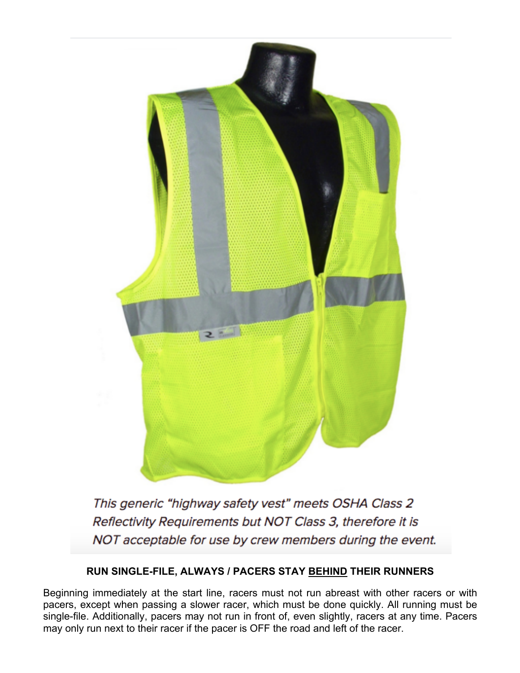

This generic "highway safety vest" meets OSHA Class 2 Reflectivity Requirements but NOT Class 3, therefore it is NOT acceptable for use by crew members during the event.

## **RUN SINGLE-FILE, ALWAYS / PACERS STAY BEHIND THEIR RUNNERS**

Beginning immediately at the start line, racers must not run abreast with other racers or with pacers, except when passing a slower racer, which must be done quickly. All running must be single-file. Additionally, pacers may not run in front of, even slightly, racers at any time. Pacers may only run next to their racer if the pacer is OFF the road and left of the racer.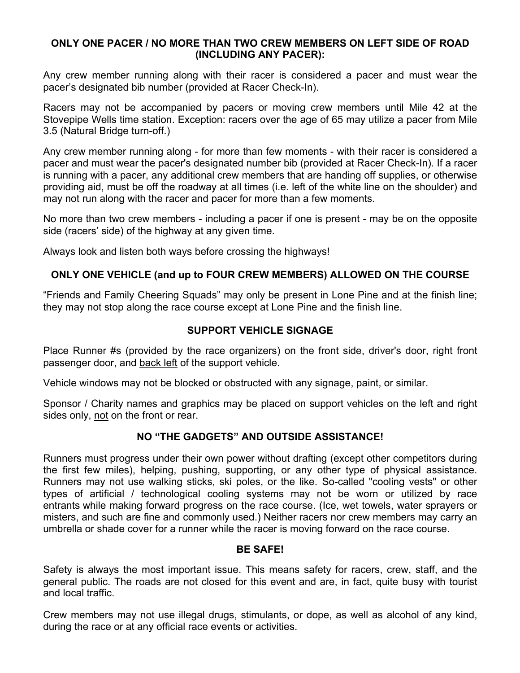#### **ONLY ONE PACER / NO MORE THAN TWO CREW MEMBERS ON LEFT SIDE OF ROAD (INCLUDING ANY PACER):**

Any crew member running along with their racer is considered a pacer and must wear the pacer's designated bib number (provided at Racer Check-In).

Racers may not be accompanied by pacers or moving crew members until Mile 42 at the Stovepipe Wells time station. Exception: racers over the age of 65 may utilize a pacer from Mile 3.5 (Natural Bridge turn-off.)

Any crew member running along - for more than few moments - with their racer is considered a pacer and must wear the pacer's designated number bib (provided at Racer Check-In). If a racer is running with a pacer, any additional crew members that are handing off supplies, or otherwise providing aid, must be off the roadway at all times (i.e. left of the white line on the shoulder) and may not run along with the racer and pacer for more than a few moments.

No more than two crew members - including a pacer if one is present - may be on the opposite side (racers' side) of the highway at any given time.

Always look and listen both ways before crossing the highways!

#### **ONLY ONE VEHICLE (and up to FOUR CREW MEMBERS) ALLOWED ON THE COURSE**

"Friends and Family Cheering Squads" may only be present in Lone Pine and at the finish line; they may not stop along the race course except at Lone Pine and the finish line.

#### **SUPPORT VEHICLE SIGNAGE**

Place Runner #s (provided by the race organizers) on the front side, driver's door, right front passenger door, and back left of the support vehicle.

Vehicle windows may not be blocked or obstructed with any signage, paint, or similar.

Sponsor / Charity names and graphics may be placed on support vehicles on the left and right sides only, not on the front or rear.

#### **NO "THE GADGETS" AND OUTSIDE ASSISTANCE!**

Runners must progress under their own power without drafting (except other competitors during the first few miles), helping, pushing, supporting, or any other type of physical assistance. Runners may not use walking sticks, ski poles, or the like. So-called "cooling vests" or other types of artificial / technological cooling systems may not be worn or utilized by race entrants while making forward progress on the race course. (Ice, wet towels, water sprayers or misters, and such are fine and commonly used.) Neither racers nor crew members may carry an umbrella or shade cover for a runner while the racer is moving forward on the race course.

#### **BE SAFE!**

Safety is always the most important issue. This means safety for racers, crew, staff, and the general public. The roads are not closed for this event and are, in fact, quite busy with tourist and local traffic.

Crew members may not use illegal drugs, stimulants, or dope, as well as alcohol of any kind, during the race or at any official race events or activities.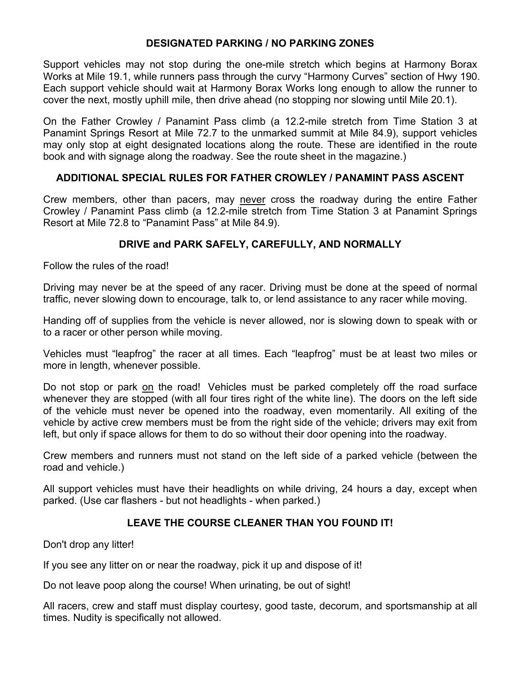#### **DESIGNATED PARKING / NO PARKING ZONES**

Support vehicles may not stop during the one-mile stretch which begins at Harmony Borax Works at Mile 19.1, while runners pass through the curvy "Harmony Curves" section of Hwy 190. Each support vehicle should wait at Harmony Borax Works long enough to allow the runner to cover the next, mostly uphill mile, then drive ahead (no stopping nor slowing until Mile 20.1).

On the Father Crowley / Panamint Pass climb (a 12.2-mile stretch from Time Station 3 at Panamint Springs Resort at Mile 72.7 to the unmarked summit at Mile 84.9), support vehicles may only stop at eight designated locations along the route. These are identified in the route book and with signage along the roadway. See the route sheet in the magazine.)

#### **ADDITIONAL SPECIAL RULES FOR FATHER CROWLEY / PANAMINT PASS ASCENT**

Crew members, other than pacers, may never cross the roadway during the entire Father Crowley / Panamint Pass climb (a 12.2-mile stretch from Time Station 3 at Panamint Springs Resort at Mile 72.8 to "Panamint Pass" at Mile 84.9).

#### **DRIVE and PARK SAFELY, CAREFULLY, AND NORMALLY**

Follow the rules of the road!

Driving may never be at the speed of any racer. Driving must be done at the speed of normal traffic, never slowing down to encourage, talk to, or lend assistance to any racer while moving.

Handing off of supplies from the vehicle is never allowed, nor is slowing down to speak with or to a racer or other person while moving.

Vehicles must "leapfrog" the racer at all times. Each "leapfrog" must be at least two miles or more in length, whenever possible.

Do not stop or park on the road! Vehicles must be parked completely off the road surface whenever they are stopped (with all four tires right of the white line). The doors on the left side of the vehicle must never be opened into the roadway, even momentarily. All exiting of the vehicle by active crew members must be from the right side of the vehicle; drivers may exit from left, but only if space allows for them to do so without their door opening into the roadway.

Crew members and runners must not stand on the left side of a parked vehicle (between the road and vehicle.)

All support vehicles must have their headlights on while driving, 24 hours a day, except when parked. (Use car flashers - but not headlights - when parked.)

## **LEAVE THE COURSE CLEANER THAN YOU FOUND IT!**

Don't drop any litter!

If you see any litter on or near the roadway, pick it up and dispose of it!

Do not leave poop along the course! When urinating, be out of sight!

All racers, crew and staff must display courtesy, good taste, decorum, and sportsmanship at all times. Nudity is specifically not allowed.